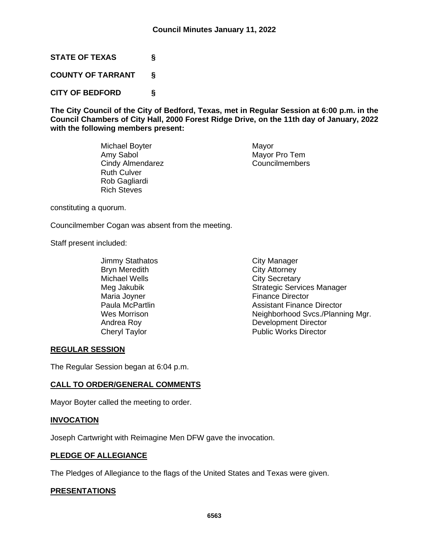**STATE OF TEXAS §**

**COUNTY OF TARRANT §**

**CITY OF BEDFORD §**

**The City Council of the City of Bedford, Texas, met in Regular Session at 6:00 p.m. in the Council Chambers of City Hall, 2000 Forest Ridge Drive, on the 11th day of January, 2022 with the following members present:**

> Michael Boyter **Mayor** Mayor Amy Sabol Mayor Pro Tem Cindy Almendarez Councilmembers Ruth Culver Rob Gagliardi Rich Steves

constituting a quorum.

Councilmember Cogan was absent from the meeting.

Staff present included:

- Jimmy Stathatos City Manager Bryn Meredith City Attorney Michael Wells **City Secretary**
- Meg Jakubik Neg Jakubik Strategic Services Manager<br>Maria Joyner National Strategic Services Manager **Finance Director** Paula McPartlin **Paula McPartlin**<br>
Wes Morrison **Assistant Finance Director**<br>
Neighborhood Svcs./Plann Neighborhood Svcs./Planning Mgr. Andrea Roy **Development Director** Cheryl Taylor **Public Works Director**

## **REGULAR SESSION**

The Regular Session began at 6:04 p.m.

## **CALL TO ORDER/GENERAL COMMENTS**

Mayor Boyter called the meeting to order.

## **INVOCATION**

Joseph Cartwright with Reimagine Men DFW gave the invocation.

## **PLEDGE OF ALLEGIANCE**

The Pledges of Allegiance to the flags of the United States and Texas were given.

## **PRESENTATIONS**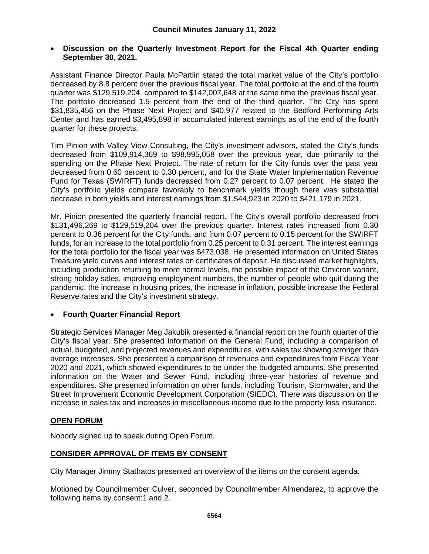## • **Discussion on the Quarterly Investment Report for the Fiscal 4th Quarter ending September 30, 2021.**

Assistant Finance Director Paula McPartlin stated the total market value of the City's portfolio decreased by 8.8 percent over the previous fiscal year. The total portfolio at the end of the fourth quarter was \$129,519,204, compared to \$142,007,648 at the same time the previous fiscal year. The portfolio decreased 1.5 percent from the end of the third quarter. The City has spent \$31,835,456 on the Phase Next Project and \$40,977 related to the Bedford Performing Arts Center and has earned \$3,495,898 in accumulated interest earnings as of the end of the fourth quarter for these projects.

Tim Pinion with Valley View Consulting, the City's investment advisors, stated the City's funds decreased from \$109,914,369 to \$98,995,058 over the previous year, due primarily to the spending on the Phase Next Project. The rate of return for the City funds over the past year decreased from 0.60 percent to 0.30 percent, and for the State Water Implementation Revenue Fund for Texas (SWIRFT) funds decreased from 0.27 percent to 0.07 percent. He stated the City's portfolio yields compare favorably to benchmark yields though there was substantial decrease in both yields and interest earnings from \$1,544,923 in 2020 to \$421,179 in 2021.

Mr. Pinion presented the quarterly financial report. The City's overall portfolio decreased from \$131,496,269 to \$129,519,204 over the previous quarter. Interest rates increased from 0.30 percent to 0.36 percent for the City funds, and from 0.07 percent to 0.15 percent for the SWIRFT funds, for an increase to the total portfolio from 0.25 percent to 0.31 percent. The interest earnings for the total portfolio for the fiscal year was \$473,038. He presented information on United States Treasure yield curves and interest rates on certificates of deposit. He discussed market highlights, including production returning to more normal levels, the possible impact of the Omicron variant, strong holiday sales, improving employment numbers, the number of people who quit during the pandemic, the increase in housing prices, the increase in inflation, possible increase the Federal Reserve rates and the City's investment strategy.

# • **Fourth Quarter Financial Report**

Strategic Services Manager Meg Jakubik presented a financial report on the fourth quarter of the City's fiscal year. She presented information on the General Fund, including a comparison of actual, budgeted, and projected revenues and expenditures, with sales tax showing stronger than average increases. She presented a comparison of revenues and expenditures from Fiscal Year 2020 and 2021, which showed expenditures to be under the budgeted amounts. She presented information on the Water and Sewer Fund, including three-year histories of revenue and expenditures. She presented information on other funds, including Tourism, Stormwater, and the Street Improvement Economic Development Corporation (SIEDC). There was discussion on the increase in sales tax and increases in miscellaneous income due to the property loss insurance.

# **OPEN FORUM**

Nobody signed up to speak during Open Forum.

# **CONSIDER APPROVAL OF ITEMS BY CONSENT**

City Manager Jimmy Stathatos presented an overview of the items on the consent agenda.

Motioned by Councilmember Culver, seconded by Councilmember Almendarez, to approve the following items by consent:1 and 2.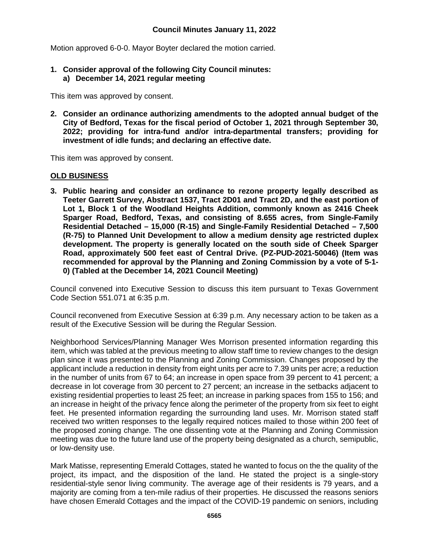Motion approved 6-0-0. Mayor Boyter declared the motion carried.

**1. Consider approval of the following City Council minutes: a) December 14, 2021 regular meeting**

This item was approved by consent.

**2. Consider an ordinance authorizing amendments to the adopted annual budget of the City of Bedford, Texas for the fiscal period of October 1, 2021 through September 30, 2022; providing for intra-fund and/or intra-departmental transfers; providing for investment of idle funds; and declaring an effective date.**

This item was approved by consent.

## **OLD BUSINESS**

**3. Public hearing and consider an ordinance to rezone property legally described as Teeter Garrett Survey, Abstract 1537, Tract 2D01 and Tract 2D, and the east portion of Lot 1, Block 1 of the Woodland Heights Addition, commonly known as 2416 Cheek Sparger Road, Bedford, Texas, and consisting of 8.655 acres, from Single-Family Residential Detached – 15,000 (R-15) and Single-Family Residential Detached – 7,500 (R-75) to Planned Unit Development to allow a medium density age restricted duplex development. The property is generally located on the south side of Cheek Sparger Road, approximately 500 feet east of Central Drive. (PZ-PUD-2021-50046) (Item was recommended for approval by the Planning and Zoning Commission by a vote of 5-1- 0) (Tabled at the December 14, 2021 Council Meeting)**

Council convened into Executive Session to discuss this item pursuant to Texas Government Code Section 551.071 at 6:35 p.m.

Council reconvened from Executive Session at 6:39 p.m. Any necessary action to be taken as a result of the Executive Session will be during the Regular Session.

Neighborhood Services/Planning Manager Wes Morrison presented information regarding this item, which was tabled at the previous meeting to allow staff time to review changes to the design plan since it was presented to the Planning and Zoning Commission. Changes proposed by the applicant include a reduction in density from eight units per acre to 7.39 units per acre; a reduction in the number of units from 67 to 64; an increase in open space from 39 percent to 41 percent; a decrease in lot coverage from 30 percent to 27 percent; an increase in the setbacks adjacent to existing residential properties to least 25 feet; an increase in parking spaces from 155 to 156; and an increase in height of the privacy fence along the perimeter of the property from six feet to eight feet. He presented information regarding the surrounding land uses. Mr. Morrison stated staff received two written responses to the legally required notices mailed to those within 200 feet of the proposed zoning change. The one dissenting vote at the Planning and Zoning Commission meeting was due to the future land use of the property being designated as a church, semipublic, or low-density use.

Mark Matisse, representing Emerald Cottages, stated he wanted to focus on the the quality of the project, its impact, and the disposition of the land. He stated the project is a single-story residential-style senor living community. The average age of their residents is 79 years, and a majority are coming from a ten-mile radius of their properties. He discussed the reasons seniors have chosen Emerald Cottages and the impact of the COVID-19 pandemic on seniors, including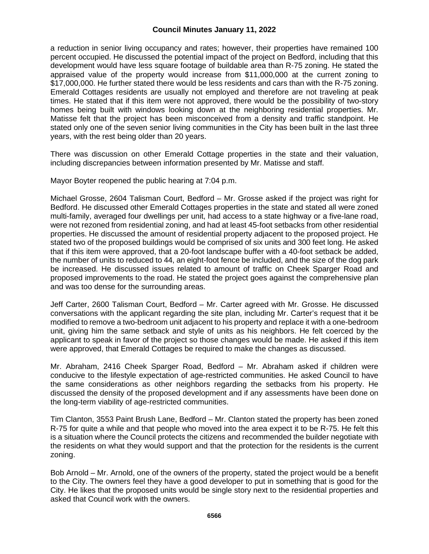a reduction in senior living occupancy and rates; however, their properties have remained 100 percent occupied. He discussed the potential impact of the project on Bedford, including that this development would have less square footage of buildable area than R-75 zoning. He stated the appraised value of the property would increase from \$11,000,000 at the current zoning to \$17,000,000. He further stated there would be less residents and cars than with the R-75 zoning. Emerald Cottages residents are usually not employed and therefore are not traveling at peak times. He stated that if this item were not approved, there would be the possibility of two-story homes being built with windows looking down at the neighboring residential properties. Mr. Matisse felt that the project has been misconceived from a density and traffic standpoint. He stated only one of the seven senior living communities in the City has been built in the last three years, with the rest being older than 20 years.

There was discussion on other Emerald Cottage properties in the state and their valuation, including discrepancies between information presented by Mr. Matisse and staff.

Mayor Boyter reopened the public hearing at 7:04 p.m.

Michael Grosse, 2604 Talisman Court, Bedford – Mr. Grosse asked if the project was right for Bedford. He discussed other Emerald Cottages properties in the state and stated all were zoned multi-family, averaged four dwellings per unit, had access to a state highway or a five-lane road, were not rezoned from residential zoning, and had at least 45-foot setbacks from other residential properties. He discussed the amount of residential property adjacent to the proposed project. He stated two of the proposed buildings would be comprised of six units and 300 feet long. He asked that if this item were approved, that a 20-foot landscape buffer with a 40-foot setback be added, the number of units to reduced to 44, an eight-foot fence be included, and the size of the dog park be increased. He discussed issues related to amount of traffic on Cheek Sparger Road and proposed improvements to the road. He stated the project goes against the comprehensive plan and was too dense for the surrounding areas.

Jeff Carter, 2600 Talisman Court, Bedford – Mr. Carter agreed with Mr. Grosse. He discussed conversations with the applicant regarding the site plan, including Mr. Carter's request that it be modified to remove a two-bedroom unit adjacent to his property and replace it with a one-bedroom unit, giving him the same setback and style of units as his neighbors. He felt coerced by the applicant to speak in favor of the project so those changes would be made. He asked if this item were approved, that Emerald Cottages be required to make the changes as discussed.

Mr. Abraham, 2416 Cheek Sparger Road, Bedford – Mr. Abraham asked if children were conducive to the lifestyle expectation of age-restricted communities. He asked Council to have the same considerations as other neighbors regarding the setbacks from his property. He discussed the density of the proposed development and if any assessments have been done on the long-term viability of age-restricted communities.

Tim Clanton, 3553 Paint Brush Lane, Bedford – Mr. Clanton stated the property has been zoned R-75 for quite a while and that people who moved into the area expect it to be R-75. He felt this is a situation where the Council protects the citizens and recommended the builder negotiate with the residents on what they would support and that the protection for the residents is the current zoning.

Bob Arnold – Mr. Arnold, one of the owners of the property, stated the project would be a benefit to the City. The owners feel they have a good developer to put in something that is good for the City. He likes that the proposed units would be single story next to the residential properties and asked that Council work with the owners.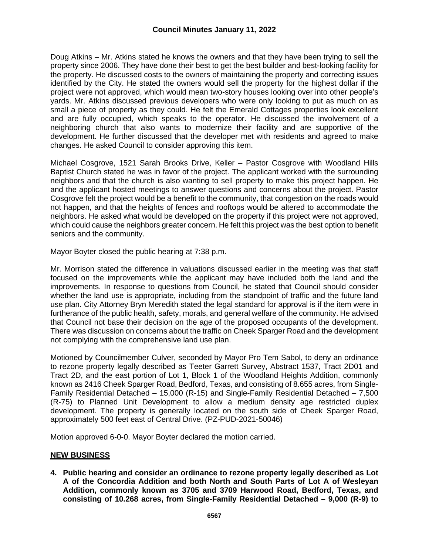Doug Atkins – Mr. Atkins stated he knows the owners and that they have been trying to sell the property since 2006. They have done their best to get the best builder and best-looking facility for the property. He discussed costs to the owners of maintaining the property and correcting issues identified by the City. He stated the owners would sell the property for the highest dollar if the project were not approved, which would mean two-story houses looking over into other people's yards. Mr. Atkins discussed previous developers who were only looking to put as much on as small a piece of property as they could. He felt the Emerald Cottages properties look excellent and are fully occupied, which speaks to the operator. He discussed the involvement of a neighboring church that also wants to modernize their facility and are supportive of the development. He further discussed that the developer met with residents and agreed to make changes. He asked Council to consider approving this item.

Michael Cosgrove, 1521 Sarah Brooks Drive, Keller – Pastor Cosgrove with Woodland Hills Baptist Church stated he was in favor of the project. The applicant worked with the surrounding neighbors and that the church is also wanting to sell property to make this project happen. He and the applicant hosted meetings to answer questions and concerns about the project. Pastor Cosgrove felt the project would be a benefit to the community, that congestion on the roads would not happen, and that the heights of fences and rooftops would be altered to accommodate the neighbors. He asked what would be developed on the property if this project were not approved, which could cause the neighbors greater concern. He felt this project was the best option to benefit seniors and the community.

Mayor Boyter closed the public hearing at 7:38 p.m.

Mr. Morrison stated the difference in valuations discussed earlier in the meeting was that staff focused on the improvements while the applicant may have included both the land and the improvements. In response to questions from Council, he stated that Council should consider whether the land use is appropriate, including from the standpoint of traffic and the future land use plan. City Attorney Bryn Meredith stated the legal standard for approval is if the item were in furtherance of the public health, safety, morals, and general welfare of the community. He advised that Council not base their decision on the age of the proposed occupants of the development. There was discussion on concerns about the traffic on Cheek Sparger Road and the development not complying with the comprehensive land use plan.

Motioned by Councilmember Culver, seconded by Mayor Pro Tem Sabol, to deny an ordinance to rezone property legally described as Teeter Garrett Survey, Abstract 1537, Tract 2D01 and Tract 2D, and the east portion of Lot 1, Block 1 of the Woodland Heights Addition, commonly known as 2416 Cheek Sparger Road, Bedford, Texas, and consisting of 8.655 acres, from Single-Family Residential Detached – 15,000 (R-15) and Single-Family Residential Detached – 7,500 (R-75) to Planned Unit Development to allow a medium density age restricted duplex development. The property is generally located on the south side of Cheek Sparger Road, approximately 500 feet east of Central Drive. (PZ-PUD-2021-50046)

Motion approved 6-0-0. Mayor Boyter declared the motion carried.

## **NEW BUSINESS**

**4. Public hearing and consider an ordinance to rezone property legally described as Lot A of the Concordia Addition and both North and South Parts of Lot A of Wesleyan Addition, commonly known as 3705 and 3709 Harwood Road, Bedford, Texas, and consisting of 10.268 acres, from Single-Family Residential Detached – 9,000 (R-9) to**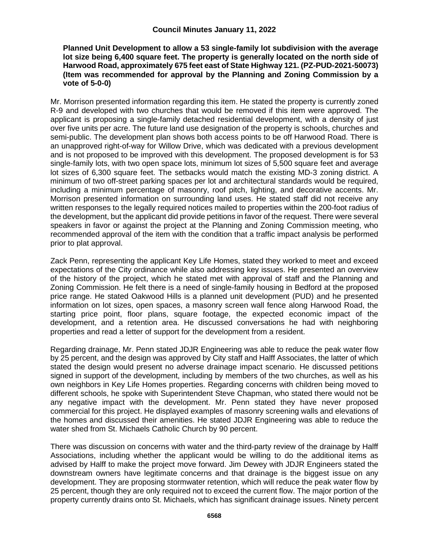#### **Planned Unit Development to allow a 53 single-family lot subdivision with the average lot size being 6,400 square feet. The property is generally located on the north side of Harwood Road, approximately 675 feet east of State Highway 121. (PZ-PUD-2021-50073) (Item was recommended for approval by the Planning and Zoning Commission by a vote of 5-0-0)**

Mr. Morrison presented information regarding this item. He stated the property is currently zoned R-9 and developed with two churches that would be removed if this item were approved. The applicant is proposing a single-family detached residential development, with a density of just over five units per acre. The future land use designation of the property is schools, churches and semi-public. The development plan shows both access points to be off Harwood Road. There is an unapproved right-of-way for Willow Drive, which was dedicated with a previous development and is not proposed to be improved with this development. The proposed development is for 53 single-family lots, with two open space lots, minimum lot sizes of 5,500 square feet and average lot sizes of 6,300 square feet. The setbacks would match the existing MD-3 zoning district. A minimum of two off-street parking spaces per lot and architectural standards would be required, including a minimum percentage of masonry, roof pitch, lighting, and decorative accents. Mr. Morrison presented information on surrounding land uses. He stated staff did not receive any written responses to the legally required notices mailed to properties within the 200-foot radius of the development, but the applicant did provide petitions in favor of the request. There were several speakers in favor or against the project at the Planning and Zoning Commission meeting, who recommended approval of the item with the condition that a traffic impact analysis be performed prior to plat approval.

Zack Penn, representing the applicant Key Life Homes, stated they worked to meet and exceed expectations of the City ordinance while also addressing key issues. He presented an overview of the history of the project, which he stated met with approval of staff and the Planning and Zoning Commission. He felt there is a need of single-family housing in Bedford at the proposed price range. He stated Oakwood Hills is a planned unit development (PUD) and he presented information on lot sizes, open spaces, a masonry screen wall fence along Harwood Road, the starting price point, floor plans, square footage, the expected economic impact of the development, and a retention area. He discussed conversations he had with neighboring properties and read a letter of support for the development from a resident.

Regarding drainage, Mr. Penn stated JDJR Engineering was able to reduce the peak water flow by 25 percent, and the design was approved by City staff and Halff Associates, the latter of which stated the design would present no adverse drainage impact scenario. He discussed petitions signed in support of the development, including by members of the two churches, as well as his own neighbors in Key Life Homes properties. Regarding concerns with children being moved to different schools, he spoke with Superintendent Steve Chapman, who stated there would not be any negative impact with the development. Mr. Penn stated they have never proposed commercial for this project. He displayed examples of masonry screening walls and elevations of the homes and discussed their amenities. He stated JDJR Engineering was able to reduce the water shed from St. Michaels Catholic Church by 90 percent.

There was discussion on concerns with water and the third-party review of the drainage by Halff Associations, including whether the applicant would be willing to do the additional items as advised by Halff to make the project move forward. Jim Dewey with JDJR Engineers stated the downstream owners have legitimate concerns and that drainage is the biggest issue on any development. They are proposing stormwater retention, which will reduce the peak water flow by 25 percent, though they are only required not to exceed the current flow. The major portion of the property currently drains onto St. Michaels, which has significant drainage issues. Ninety percent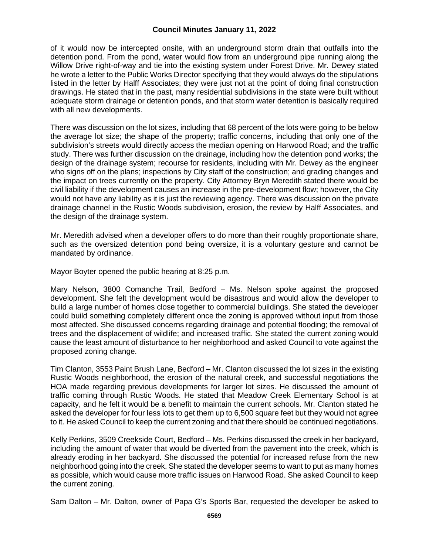of it would now be intercepted onsite, with an underground storm drain that outfalls into the detention pond. From the pond, water would flow from an underground pipe running along the Willow Drive right-of-way and tie into the existing system under Forest Drive. Mr. Dewey stated he wrote a letter to the Public Works Director specifying that they would always do the stipulations listed in the letter by Halff Associates; they were just not at the point of doing final construction drawings. He stated that in the past, many residential subdivisions in the state were built without adequate storm drainage or detention ponds, and that storm water detention is basically required with all new developments.

There was discussion on the lot sizes, including that 68 percent of the lots were going to be below the average lot size; the shape of the property; traffic concerns, including that only one of the subdivision's streets would directly access the median opening on Harwood Road; and the traffic study. There was further discussion on the drainage, including how the detention pond works; the design of the drainage system; recourse for residents, including with Mr. Dewey as the engineer who signs off on the plans; inspections by City staff of the construction; and grading changes and the impact on trees currently on the property. City Attorney Bryn Meredith stated there would be civil liability if the development causes an increase in the pre-development flow; however, the City would not have any liability as it is just the reviewing agency. There was discussion on the private drainage channel in the Rustic Woods subdivision, erosion, the review by Halff Associates, and the design of the drainage system.

Mr. Meredith advised when a developer offers to do more than their roughly proportionate share, such as the oversized detention pond being oversize, it is a voluntary gesture and cannot be mandated by ordinance.

Mayor Boyter opened the public hearing at 8:25 p.m.

Mary Nelson, 3800 Comanche Trail, Bedford – Ms. Nelson spoke against the proposed development. She felt the development would be disastrous and would allow the developer to build a large number of homes close together to commercial buildings. She stated the developer could build something completely different once the zoning is approved without input from those most affected. She discussed concerns regarding drainage and potential flooding; the removal of trees and the displacement of wildlife; and increased traffic. She stated the current zoning would cause the least amount of disturbance to her neighborhood and asked Council to vote against the proposed zoning change.

Tim Clanton, 3553 Paint Brush Lane, Bedford – Mr. Clanton discussed the lot sizes in the existing Rustic Woods neighborhood, the erosion of the natural creek, and successful negotiations the HOA made regarding previous developments for larger lot sizes. He discussed the amount of traffic coming through Rustic Woods. He stated that Meadow Creek Elementary School is at capacity, and he felt it would be a benefit to maintain the current schools. Mr. Clanton stated he asked the developer for four less lots to get them up to 6,500 square feet but they would not agree to it. He asked Council to keep the current zoning and that there should be continued negotiations.

Kelly Perkins, 3509 Creekside Court, Bedford – Ms. Perkins discussed the creek in her backyard, including the amount of water that would be diverted from the pavement into the creek, which is already eroding in her backyard. She discussed the potential for increased refuse from the new neighborhood going into the creek. She stated the developer seems to want to put as many homes as possible, which would cause more traffic issues on Harwood Road. She asked Council to keep the current zoning.

Sam Dalton – Mr. Dalton, owner of Papa G's Sports Bar, requested the developer be asked to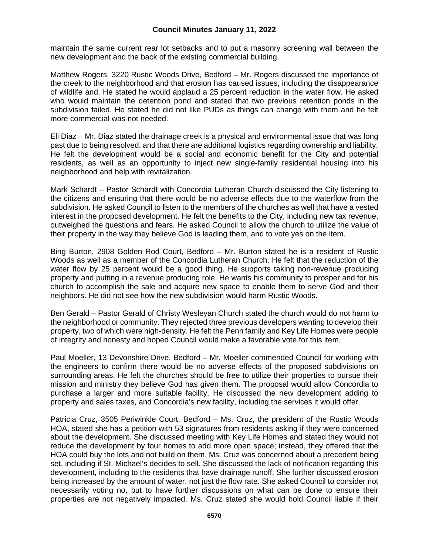maintain the same current rear lot setbacks and to put a masonry screening wall between the new development and the back of the existing commercial building.

Matthew Rogers, 3220 Rustic Woods Drive, Bedford – Mr. Rogers discussed the importance of the creek to the neighborhood and that erosion has caused issues, including the disappearance of wildlife and. He stated he would applaud a 25 percent reduction in the water flow. He asked who would maintain the detention pond and stated that two previous retention ponds in the subdivision failed. He stated he did not like PUDs as things can change with them and he felt more commercial was not needed.

Eli Diaz – Mr. Diaz stated the drainage creek is a physical and environmental issue that was long past due to being resolved, and that there are additional logistics regarding ownership and liability. He felt the development would be a social and economic benefit for the City and potential residents, as well as an opportunity to inject new single-family residential housing into his neighborhood and help with revitalization.

Mark Schardt – Pastor Schardt with Concordia Lutheran Church discussed the City listening to the citizens and ensuring that there would be no adverse effects due to the waterflow from the subdivision. He asked Council to listen to the members of the churches as well that have a vested interest in the proposed development. He felt the benefits to the City, including new tax revenue, outweighed the questions and fears. He asked Council to allow the church to utilize the value of their property in the way they believe God is leading them, and to vote yes on the item.

Bing Burton, 2908 Golden Rod Court, Bedford – Mr. Burton stated he is a resident of Rustic Woods as well as a member of the Concordia Lutheran Church. He felt that the reduction of the water flow by 25 percent would be a good thing. He supports taking non-revenue producing property and putting in a revenue producing role. He wants his community to prosper and for his church to accomplish the sale and acquire new space to enable them to serve God and their neighbors. He did not see how the new subdivision would harm Rustic Woods.

Ben Gerald – Pastor Gerald of Christy Wesleyan Church stated the church would do not harm to the neighborhood or community. They rejected three previous developers wanting to develop their property, two of which were high-density. He felt the Penn family and Key Life Homes were people of integrity and honesty and hoped Council would make a favorable vote for this item.

Paul Moeller, 13 Devonshire Drive, Bedford – Mr. Moeller commended Council for working with the engineers to confirm there would be no adverse effects of the proposed subdivisions on surrounding areas. He felt the churches should be free to utilize their properties to pursue their mission and ministry they believe God has given them. The proposal would allow Concordia to purchase a larger and more suitable facility. He discussed the new development adding to property and sales taxes, and Concordia's new facility, including the services it would offer.

Patricia Cruz, 3505 Periwinkle Court, Bedford – Ms. Cruz, the president of the Rustic Woods HOA, stated she has a petition with 53 signatures from residents asking if they were concerned about the development. She discussed meeting with Key Life Homes and stated they would not reduce the development by four homes to add more open space; instead, they offered that the HOA could buy the lots and not build on them. Ms. Cruz was concerned about a precedent being set, including if St. Michael's decides to sell. She discussed the lack of notification regarding this development, including to the residents that have drainage runoff. She further discussed erosion being increased by the amount of water, not just the flow rate. She asked Council to consider not necessarily voting no, but to have further discussions on what can be done to ensure their properties are not negatively impacted. Ms. Cruz stated she would hold Council liable if their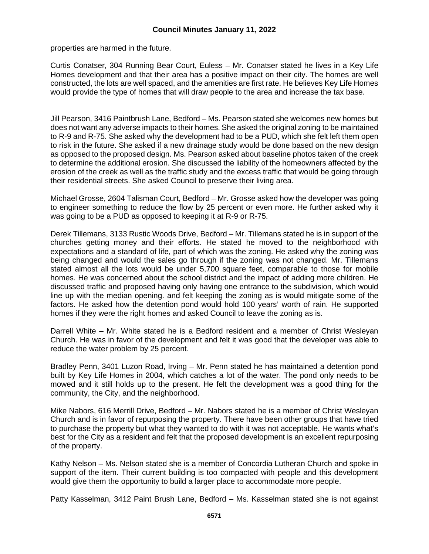properties are harmed in the future.

Curtis Conatser, 304 Running Bear Court, Euless – Mr. Conatser stated he lives in a Key Life Homes development and that their area has a positive impact on their city. The homes are well constructed, the lots are well spaced, and the amenities are first rate. He believes Key Life Homes would provide the type of homes that will draw people to the area and increase the tax base.

Jill Pearson, 3416 Paintbrush Lane, Bedford – Ms. Pearson stated she welcomes new homes but does not want any adverse impacts to their homes. She asked the original zoning to be maintained to R-9 and R-75. She asked why the development had to be a PUD, which she felt left them open to risk in the future. She asked if a new drainage study would be done based on the new design as opposed to the proposed design. Ms. Pearson asked about baseline photos taken of the creek to determine the additional erosion. She discussed the liability of the homeowners affected by the erosion of the creek as well as the traffic study and the excess traffic that would be going through their residential streets. She asked Council to preserve their living area.

Michael Grosse, 2604 Talisman Court, Bedford – Mr. Grosse asked how the developer was going to engineer something to reduce the flow by 25 percent or even more. He further asked why it was going to be a PUD as opposed to keeping it at R-9 or R-75.

Derek Tillemans, 3133 Rustic Woods Drive, Bedford – Mr. Tillemans stated he is in support of the churches getting money and their efforts. He stated he moved to the neighborhood with expectations and a standard of life, part of which was the zoning. He asked why the zoning was being changed and would the sales go through if the zoning was not changed. Mr. Tillemans stated almost all the lots would be under 5,700 square feet, comparable to those for mobile homes. He was concerned about the school district and the impact of adding more children. He discussed traffic and proposed having only having one entrance to the subdivision, which would line up with the median opening. and felt keeping the zoning as is would mitigate some of the factors. He asked how the detention pond would hold 100 years' worth of rain. He supported homes if they were the right homes and asked Council to leave the zoning as is.

Darrell White – Mr. White stated he is a Bedford resident and a member of Christ Wesleyan Church. He was in favor of the development and felt it was good that the developer was able to reduce the water problem by 25 percent.

Bradley Penn, 3401 Luzon Road, Irving – Mr. Penn stated he has maintained a detention pond built by Key Life Homes in 2004, which catches a lot of the water. The pond only needs to be mowed and it still holds up to the present. He felt the development was a good thing for the community, the City, and the neighborhood.

Mike Nabors, 616 Merrill Drive, Bedford – Mr. Nabors stated he is a member of Christ Wesleyan Church and is in favor of repurposing the property. There have been other groups that have tried to purchase the property but what they wanted to do with it was not acceptable. He wants what's best for the City as a resident and felt that the proposed development is an excellent repurposing of the property.

Kathy Nelson – Ms. Nelson stated she is a member of Concordia Lutheran Church and spoke in support of the item. Their current building is too compacted with people and this development would give them the opportunity to build a larger place to accommodate more people.

Patty Kasselman, 3412 Paint Brush Lane, Bedford – Ms. Kasselman stated she is not against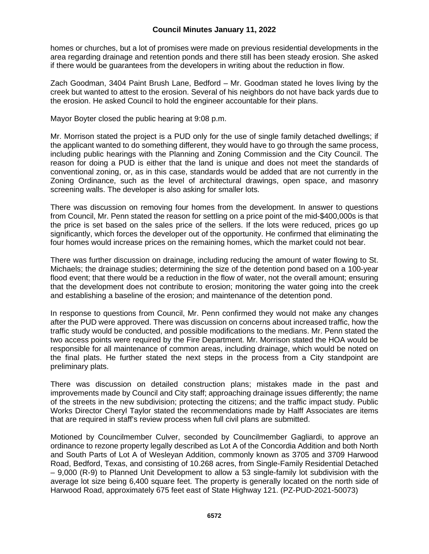homes or churches, but a lot of promises were made on previous residential developments in the area regarding drainage and retention ponds and there still has been steady erosion. She asked if there would be guarantees from the developers in writing about the reduction in flow.

Zach Goodman, 3404 Paint Brush Lane, Bedford – Mr. Goodman stated he loves living by the creek but wanted to attest to the erosion. Several of his neighbors do not have back yards due to the erosion. He asked Council to hold the engineer accountable for their plans.

Mayor Boyter closed the public hearing at 9:08 p.m.

Mr. Morrison stated the project is a PUD only for the use of single family detached dwellings; if the applicant wanted to do something different, they would have to go through the same process, including public hearings with the Planning and Zoning Commission and the City Council. The reason for doing a PUD is either that the land is unique and does not meet the standards of conventional zoning, or, as in this case, standards would be added that are not currently in the Zoning Ordinance, such as the level of architectural drawings, open space, and masonry screening walls. The developer is also asking for smaller lots.

There was discussion on removing four homes from the development. In answer to questions from Council, Mr. Penn stated the reason for settling on a price point of the mid-\$400,000s is that the price is set based on the sales price of the sellers. If the lots were reduced, prices go up significantly, which forces the developer out of the opportunity. He confirmed that eliminating the four homes would increase prices on the remaining homes, which the market could not bear.

There was further discussion on drainage, including reducing the amount of water flowing to St. Michaels; the drainage studies; determining the size of the detention pond based on a 100-year flood event; that there would be a reduction in the flow of water, not the overall amount; ensuring that the development does not contribute to erosion; monitoring the water going into the creek and establishing a baseline of the erosion; and maintenance of the detention pond.

In response to questions from Council, Mr. Penn confirmed they would not make any changes after the PUD were approved. There was discussion on concerns about increased traffic, how the traffic study would be conducted, and possible modifications to the medians. Mr. Penn stated the two access points were required by the Fire Department. Mr. Morrison stated the HOA would be responsible for all maintenance of common areas, including drainage, which would be noted on the final plats. He further stated the next steps in the process from a City standpoint are preliminary plats.

There was discussion on detailed construction plans; mistakes made in the past and improvements made by Council and City staff; approaching drainage issues differently; the name of the streets in the new subdivision; protecting the citizens; and the traffic impact study. Public Works Director Cheryl Taylor stated the recommendations made by Halff Associates are items that are required in staff's review process when full civil plans are submitted.

Motioned by Councilmember Culver, seconded by Councilmember Gagliardi, to approve an ordinance to rezone property legally described as Lot A of the Concordia Addition and both North and South Parts of Lot A of Wesleyan Addition, commonly known as 3705 and 3709 Harwood Road, Bedford, Texas, and consisting of 10.268 acres, from Single-Family Residential Detached – 9,000 (R-9) to Planned Unit Development to allow a 53 single-family lot subdivision with the average lot size being 6,400 square feet. The property is generally located on the north side of Harwood Road, approximately 675 feet east of State Highway 121. (PZ-PUD-2021-50073)